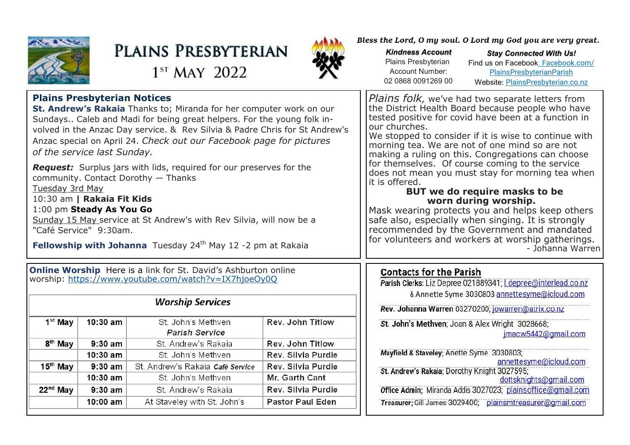

# PLAINS PRESBYTERIAN

 $1<sup>ST</sup>$  MAY 2022



Bless the Lord, O my soul. O Lord my God you are very great.

*Kindness Account* Plains Presbyterian Account Number: 02 0868 0091269 00

*Stay Connected With Us!* Find us on Facebook [Facebook.com/](file:///C:/Users/PlainsAdmin/Documents/2021PLAINS/ls/2022/Facebook.com/PlainsPresbyterianParish) [PlainsPresbyterianParish](file:///C:/Users/PlainsAdmin/Documents/2021PLAINS/ls/2022/Facebook.com/PlainsPresbyterianParish) Website: [PlainsPresbyterian.co.nz](http://www.plainspresbyterian.co.nz/)

| <b>Plains Presbyterian Notices</b><br>St. Andrew's Rakaia Thanks to; Miranda for her computer work on our<br>Sundays Caleb and Madi for being great helpers. For the young folk in-<br>volved in the Anzac Day service. & Rev Silvia & Padre Chris for St Andrew's<br>Anzac special on April 24. Check out our Facebook page for pictures<br>of the service last Sunday.<br><b>Request:</b> Surplus jars with lids, required for our preserves for the<br>community. Contact Dorothy - Thanks<br>Tuesday 3rd May<br>10:30 am   Rakaia Fit Kids<br>1:00 pm Steady As You Go<br>Sunday 15 May service at St Andrew's with Rev Silvia, will now be a<br>"Café Service" 9:30am.<br><b>Fellowship with Johanna</b> Tuesday 24 <sup>th</sup> May 12 -2 pm at Rakaia |            |                                             |                         | <i>Plains folk, we've had two separate letters from</i><br>the District Health Board because people who have<br>tested positive for covid have been at a function in<br>our churches.<br>We stopped to consider if it is wise to continue with<br>morning tea. We are not of one mind so are not<br>making a ruling on this. Congregations can choose<br>for themselves. Of course coming to the service<br>does not mean you must stay for morning tea when<br>it is offered.<br>BUT we do require masks to be<br>worn during worship.<br>Mask wearing protects you and helps keep others<br>safe also, especially when singing. It is strongly<br>recommended by the Government and mandated<br>for volunteers and workers at worship gatherings.<br>- Johanna Warren |
|---------------------------------------------------------------------------------------------------------------------------------------------------------------------------------------------------------------------------------------------------------------------------------------------------------------------------------------------------------------------------------------------------------------------------------------------------------------------------------------------------------------------------------------------------------------------------------------------------------------------------------------------------------------------------------------------------------------------------------------------------------------|------------|---------------------------------------------|-------------------------|-------------------------------------------------------------------------------------------------------------------------------------------------------------------------------------------------------------------------------------------------------------------------------------------------------------------------------------------------------------------------------------------------------------------------------------------------------------------------------------------------------------------------------------------------------------------------------------------------------------------------------------------------------------------------------------------------------------------------------------------------------------------------|
| <b>Online Worship</b> Here is a link for St. David's Ashburton online<br>worship: https://www.youtube.com/watch?v=IX7hjoeOy0Q                                                                                                                                                                                                                                                                                                                                                                                                                                                                                                                                                                                                                                 |            |                                             |                         | <b>Contacts for the Parish</b><br>Parish Clerks: Liz Depree 021889341; <i>I.depree@interlead.co.nz</i><br>& Annette Syme 3030803 annettesyme@icloud.com                                                                                                                                                                                                                                                                                                                                                                                                                                                                                                                                                                                                                 |
| <b>Worship Services</b>                                                                                                                                                                                                                                                                                                                                                                                                                                                                                                                                                                                                                                                                                                                                       |            |                                             |                         | Rev. Johanna Warren 03270200; jowarren@atrix.co.nz                                                                                                                                                                                                                                                                                                                                                                                                                                                                                                                                                                                                                                                                                                                      |
| 1 <sup>st</sup> May                                                                                                                                                                                                                                                                                                                                                                                                                                                                                                                                                                                                                                                                                                                                           | $10:30$ am | St. John's Methven<br><b>Parish Service</b> | <b>Rev. John Titlow</b> | St. John's Methven; Joan & Alex Wright 3028668;<br>imacw5442@qmail.com                                                                                                                                                                                                                                                                                                                                                                                                                                                                                                                                                                                                                                                                                                  |
| 8 <sup>th</sup> May                                                                                                                                                                                                                                                                                                                                                                                                                                                                                                                                                                                                                                                                                                                                           | $9:30$ am  | St. Andrew's Rakaja                         | <b>Rev. John Titlow</b> |                                                                                                                                                                                                                                                                                                                                                                                                                                                                                                                                                                                                                                                                                                                                                                         |
|                                                                                                                                                                                                                                                                                                                                                                                                                                                                                                                                                                                                                                                                                                                                                               | $10:30$ am | St. John's Methven                          | Rev. Silvia Purdie      | Mayfield & Staveley; Anette Syme 3030803;<br>annettesyme@icloud.com                                                                                                                                                                                                                                                                                                                                                                                                                                                                                                                                                                                                                                                                                                     |
| 15 <sup>th</sup> May                                                                                                                                                                                                                                                                                                                                                                                                                                                                                                                                                                                                                                                                                                                                          | $9:30$ am  | St. Andrew's Rakaia Café Service            | Rev. Silvia Purdie      | St. Andrew's Rakaia; Dorothy Knight 3027595;                                                                                                                                                                                                                                                                                                                                                                                                                                                                                                                                                                                                                                                                                                                            |
|                                                                                                                                                                                                                                                                                                                                                                                                                                                                                                                                                                                                                                                                                                                                                               | $10:30$ am | St. John's Methven                          | <b>Mr. Garth Cant</b>   | dottsknights@gmail.com                                                                                                                                                                                                                                                                                                                                                                                                                                                                                                                                                                                                                                                                                                                                                  |
| $22nd$ May                                                                                                                                                                                                                                                                                                                                                                                                                                                                                                                                                                                                                                                                                                                                                    | $9:30$ am  | St. Andrew's Rakaja                         | Rev. Silvia Purdie      | Office Admin; Miranda Addis 3027023; plainsoffice@qmail.com                                                                                                                                                                                                                                                                                                                                                                                                                                                                                                                                                                                                                                                                                                             |
|                                                                                                                                                                                                                                                                                                                                                                                                                                                                                                                                                                                                                                                                                                                                                               | $10:00$ am | At Staveley with St. John's                 | <b>Pastor Paul Eden</b> | Treasurer; Gill James 3029400; plainsmtreasurer@gmail.com                                                                                                                                                                                                                                                                                                                                                                                                                                                                                                                                                                                                                                                                                                               |